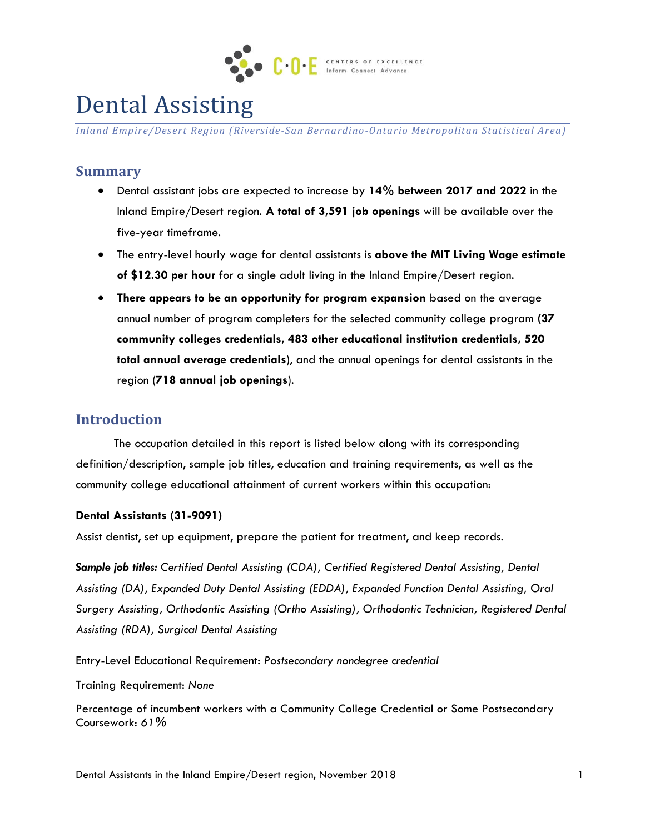

# Dental Assisting

*Inland Empire/Desert Region (Riverside-San Bernardino-Ontario Metropolitan Statistical Area)*

#### **Summary**

- Dental assistant jobs are expected to increase by **14% between 2017 and 2022** in the Inland Empire/Desert region. **A total of 3,591 job openings** will be available over the five-year timeframe.
- The entry-level hourly wage for dental assistants is **above the MIT Living Wage estimate of \$12.30 per hour** for a single adult living in the Inland Empire/Desert region.
- **There appears to be an opportunity for program expansion** based on the average annual number of program completers for the selected community college program **(37 community colleges credentials, 483 other educational institution credentials, 520 total annual average credentials**), and the annual openings for dental assistants in the region (**718 annual job openings**).

## **Introduction**

The occupation detailed in this report is listed below along with its corresponding definition/description, sample job titles, education and training requirements, as well as the community college educational attainment of current workers within this occupation:

#### **Dental Assistants (31-9091)**

Assist dentist, set up equipment, prepare the patient for treatment, and keep records.

*Sample job titles: Certified Dental Assisting (CDA), Certified Registered Dental Assisting, Dental Assisting (DA), Expanded Duty Dental Assisting (EDDA), Expanded Function Dental Assisting, Oral Surgery Assisting, Orthodontic Assisting (Ortho Assisting), Orthodontic Technician, Registered Dental Assisting (RDA), Surgical Dental Assisting*

Entry-Level Educational Requirement: *Postsecondary nondegree credential*

Training Requirement: *None*

Percentage of incumbent workers with a Community College Credential or Some Postsecondary Coursework: *61%*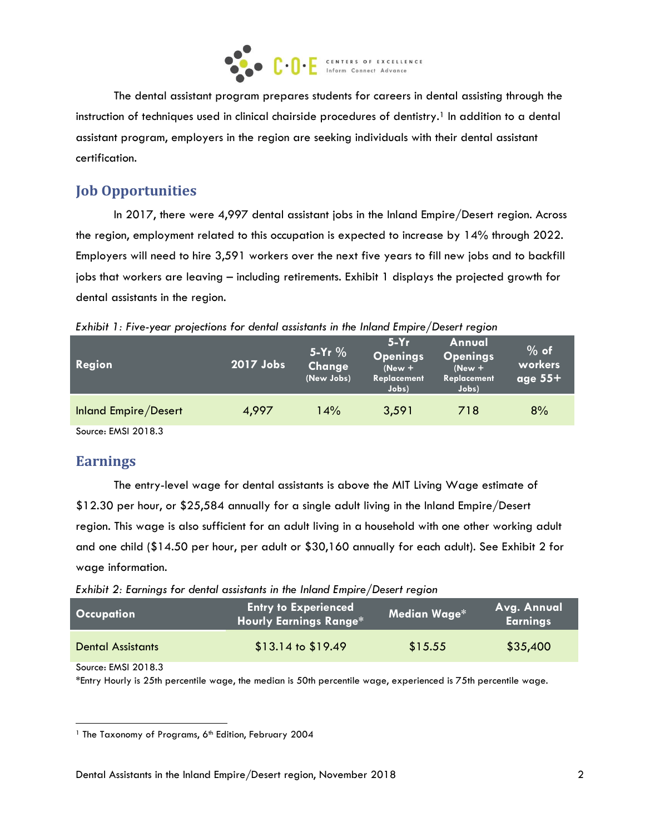

The dental assistant program prepares students for careers in dental assisting through the instruction of techniques used in clinical chairside procedures of dentistry.<sup>1</sup> In addition to a dental assistant program, employers in the region are seeking individuals with their dental assistant certification.

# **Job Opportunities**

In 2017, there were 4,997 dental assistant jobs in the Inland Empire/Desert region. Across the region, employment related to this occupation is expected to increase by 14% through 2022. Employers will need to hire 3,591 workers over the next five years to fill new jobs and to backfill jobs that workers are leaving – including retirements. Exhibit 1 displays the projected growth for dental assistants in the region.

*Exhibit 1: Five-year projections for dental assistants in the Inland Empire/Desert region*

| Region               | 2017 Jobs | $5-Yr$ %<br>Change<br>(New Jobs) | $5-Yr$<br>Openings<br>$(New +$<br>Replacement<br>Jobs) | Annual<br><b>Openings</b><br>$(New +$<br>Replacement<br>Jobs) | $%$ of<br>workers<br>age $55+$ |
|----------------------|-----------|----------------------------------|--------------------------------------------------------|---------------------------------------------------------------|--------------------------------|
| Inland Empire/Desert | 4,997     | 14%                              | 3,591                                                  | 718                                                           | 8%                             |

Source: EMSI 2018.3

# **Earnings**

The entry-level wage for dental assistants is above the MIT Living Wage estimate of \$12.30 per hour, or \$25,584 annually for a single adult living in the Inland Empire/Desert region. This wage is also sufficient for an adult living in a household with one other working adult and one child (\$14.50 per hour, per adult or \$30,160 annually for each adult). See Exhibit 2 for wage information.

*Exhibit 2: Earnings for dental assistants in the Inland Empire/Desert region*

| <b>Occupation</b>        | <b>Entry to Experienced</b><br><b>Hourly Earnings Range*</b> | Median Wage* | Avg. Annual<br><b>Earnings</b> |
|--------------------------|--------------------------------------------------------------|--------------|--------------------------------|
| <b>Dental Assistants</b> | $$13.14$ to $$19.49$                                         | \$15.55      | \$35,400                       |

Source: EMSI 2018.3

l

\*Entry Hourly is 25th percentile wage, the median is 50th percentile wage, experienced is 75th percentile wage.

<sup>&</sup>lt;sup>1</sup> The Taxonomy of Programs, 6<sup>th</sup> Edition, February 2004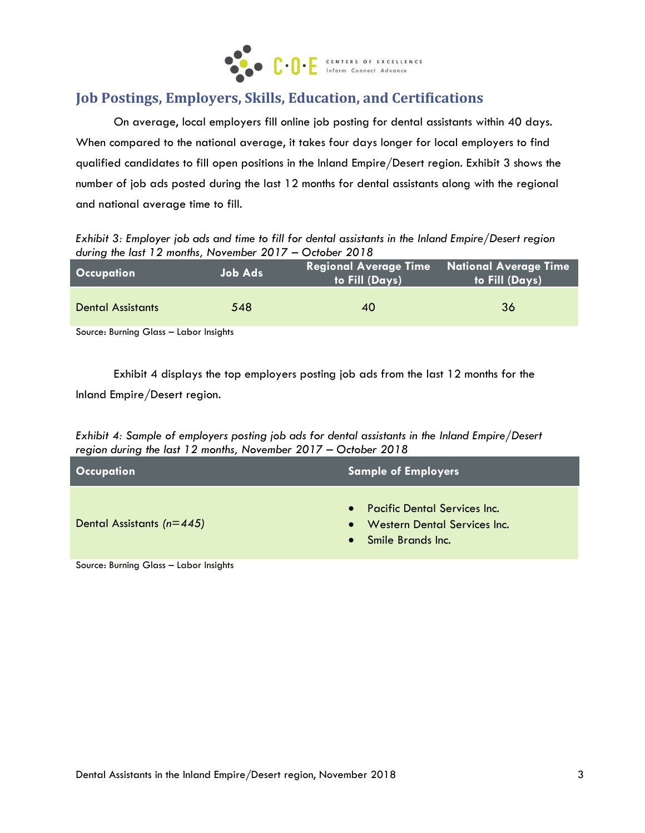

# **Job Postings, Employers, Skills, Education, and Certifications**

On average, local employers fill online job posting for dental assistants within 40 days. When compared to the national average, it takes four days longer for local employers to find qualified candidates to fill open positions in the Inland Empire/Desert region. Exhibit 3 shows the number of job ads posted during the last 12 months for dental assistants along with the regional and national average time to fill.

*Exhibit 3: Employer job ads and time to fill for dental assistants in the Inland Empire/Desert region during the last 12 months, November 2017 – October 2018*

| <b>Occupation</b>        | Job Ads | <b>to Fill</b> (Days) | <b>Regional Average Time National Average Time</b><br>to Fill (Days) |
|--------------------------|---------|-----------------------|----------------------------------------------------------------------|
| <b>Dental Assistants</b> | 548     | 40                    | 36                                                                   |

Source: Burning Glass – Labor Insights

Exhibit 4 displays the top employers posting job ads from the last 12 months for the Inland Empire/Desert region.

*Exhibit 4: Sample of employers posting job ads for dental assistants in the Inland Empire/Desert region during the last 12 months, November 2017 – October 2018*

| <b>Occupation</b>             | <b>Sample of Employers</b>                                                                                                  |  |
|-------------------------------|-----------------------------------------------------------------------------------------------------------------------------|--|
| Dental Assistants ( $n=445$ ) | <b>Pacific Dental Services Inc.</b><br>$\bullet$<br><b>Western Dental Services Inc.</b><br>$\bullet$<br>• Smile Brands Inc. |  |

Source: Burning Glass – Labor Insights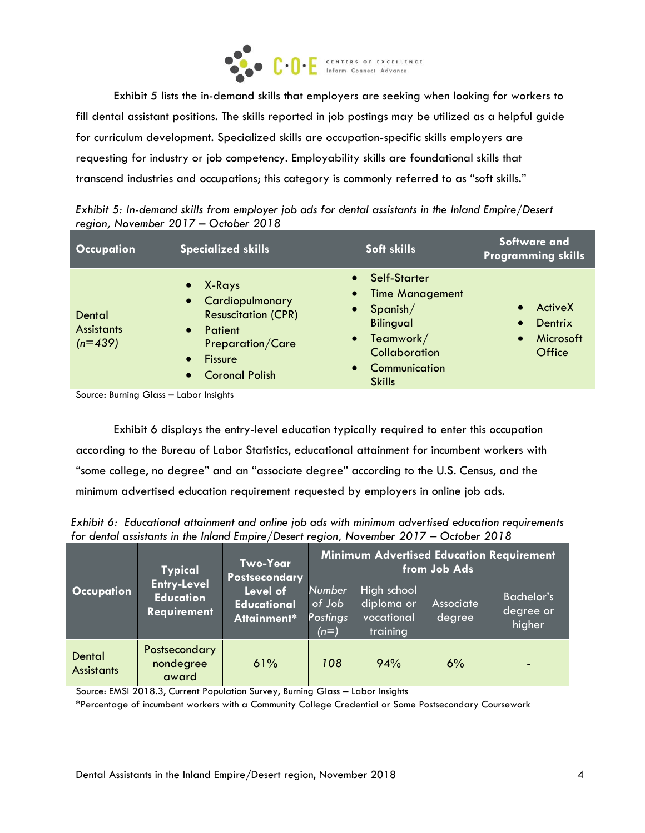

Exhibit 5 lists the in-demand skills that employers are seeking when looking for workers to fill dental assistant positions. The skills reported in job postings may be utilized as a helpful guide for curriculum development. Specialized skills are occupation-specific skills employers are requesting for industry or job competency. Employability skills are foundational skills that transcend industries and occupations; this category is commonly referred to as "soft skills."

| Exhibit 5: In-demand skills from employer job ads for dental assistants in the Inland Empire/Desert |  |  |
|-----------------------------------------------------------------------------------------------------|--|--|
| region, November 2017 - October 2018                                                                |  |  |

| <b>Occupation</b>                        | <b>Specialized skills</b>                                                                                                                                                                                                                  | Soft skills                                                                                                                                                      | Software and<br><b>Programming skills</b>                           |
|------------------------------------------|--------------------------------------------------------------------------------------------------------------------------------------------------------------------------------------------------------------------------------------------|------------------------------------------------------------------------------------------------------------------------------------------------------------------|---------------------------------------------------------------------|
| Dental<br><b>Assistants</b><br>$(n=439)$ | X-Rays<br>$\bullet$<br>$\bullet$<br>Cardiopulmonary<br>$\bullet$<br>$\bullet$<br><b>Resuscitation (CPR)</b><br>Patient<br>40-<br><b>Preparation/Care</b><br><b>Fissure</b><br>$\bullet$<br>$\bullet$<br><b>Coronal Polish</b><br>$\bullet$ | Self-Starter<br>$\bullet$<br><b>Time Management</b><br>Spanish/<br><b>Bilingual</b><br>Teamwork/<br>$\bullet$<br>Collaboration<br>Communication<br><b>Skills</b> | ActiveX<br>Dentrix<br>$\bullet$<br>Microsoft<br>$\bullet$<br>Office |

Source: Burning Glass – Labor Insights

Exhibit 6 displays the entry-level education typically required to enter this occupation according to the Bureau of Labor Statistics, educational attainment for incumbent workers with "some college, no degree" and an "associate degree" according to the U.S. Census, and the minimum advertised education requirement requested by employers in online job ads.

*Exhibit 6: Educational attainment and online job ads with minimum advertised education requirements for dental assistants in the Inland Empire/Desert region, November 2017 – October 2018*

| <b>Typical</b>              |                                                              | Two-Year<br>Postsecondary                     | <b>Minimum Advertised Education Requirement</b><br>from Job Ads |                                                     |                     |                                          |
|-----------------------------|--------------------------------------------------------------|-----------------------------------------------|-----------------------------------------------------------------|-----------------------------------------------------|---------------------|------------------------------------------|
| <b>Occupation</b>           | <b>Entry-Level</b><br><b>Education</b><br><b>Requirement</b> | Level of<br><b>Educational</b><br>Attainment* | <b>Number</b><br>of Job<br>Postings<br>$(n=)$                   | High school<br>diploma or<br>vocational<br>training | Associate<br>degree | <b>Bachelor's</b><br>degree or<br>higher |
| Dental<br><b>Assistants</b> | Postsecondary<br>nondegree<br>award                          | 61%                                           | 108                                                             | 94%                                                 | 6%                  |                                          |

Source: EMSI 2018.3, Current Population Survey, Burning Glass – Labor Insights

\*Percentage of incumbent workers with a Community College Credential or Some Postsecondary Coursework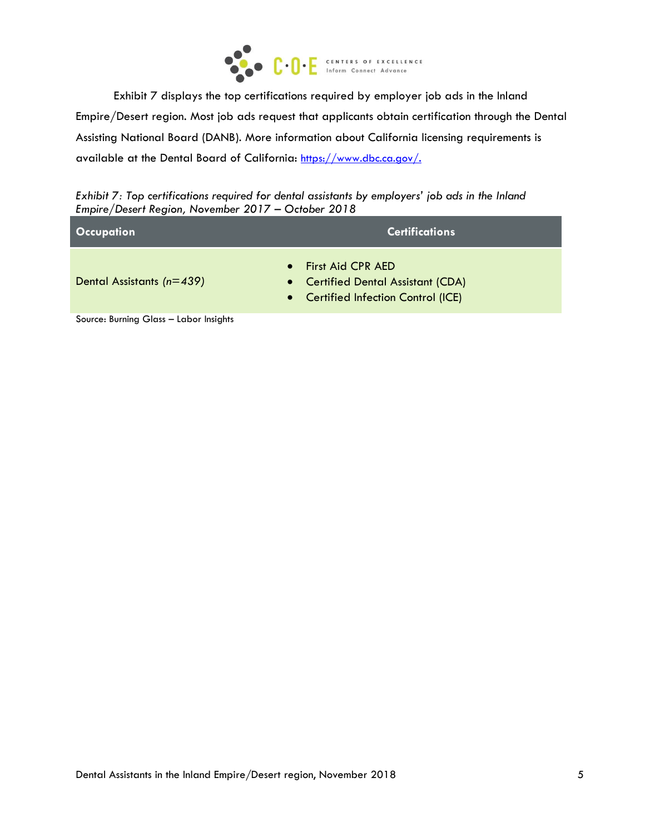

Exhibit 7 displays the top certifications required by employer job ads in the Inland Empire/Desert region. Most job ads request that applicants obtain certification through the Dental Assisting National Board (DANB). More information about California licensing requirements is available at the Dental Board of California: <https://www.dbc.ca.gov/>.

*Exhibit 7: Top certifications required for dental assistants by employers' job ads in the Inland Empire/Desert Region, November 2017 – October 2018*

| <b>Occupation</b>             | <b>Certifications</b>                                                                                    |
|-------------------------------|----------------------------------------------------------------------------------------------------------|
| Dental Assistants ( $n=439$ ) | $\bullet$ First Aid CPR AED<br>• Certified Dental Assistant (CDA)<br>• Certified Infection Control (ICE) |
| $\sim$ $\sim$<br>$\sim$       |                                                                                                          |

Source: Burning Glass – Labor Insights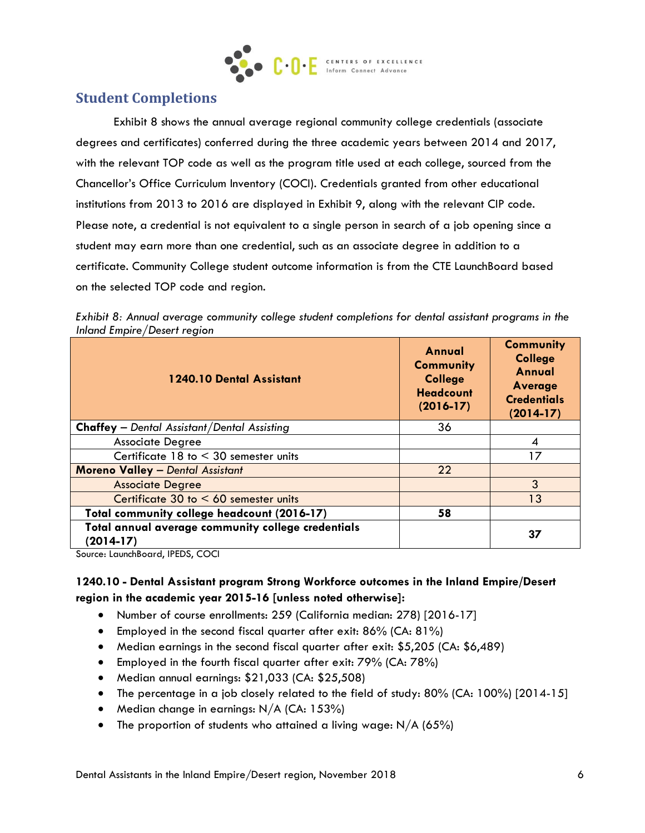

## **Student Completions**

Exhibit 8 shows the annual average regional community college credentials (associate degrees and certificates) conferred during the three academic years between 2014 and 2017, with the relevant TOP code as well as the program title used at each college, sourced from the Chancellor's Office Curriculum Inventory (COCI). Credentials granted from other educational institutions from 2013 to 2016 are displayed in Exhibit 9, along with the relevant CIP code. Please note, a credential is not equivalent to a single person in search of a job opening since a student may earn more than one credential, such as an associate degree in addition to a certificate. Community College student outcome information is from the CTE LaunchBoard based on the selected TOP code and region.

*Exhibit 8: Annual average community college student completions for dental assistant programs in the Inland Empire/Desert region*

| 1240.10 Dental Assistant                                          | Annual<br><b>Community</b><br><b>College</b><br><b>Headcount</b><br>$(2016-17)$ | <b>Community</b><br><b>College</b><br><b>Annual</b><br>Average<br><b>Credentials</b><br>$(2014-17)$ |
|-------------------------------------------------------------------|---------------------------------------------------------------------------------|-----------------------------------------------------------------------------------------------------|
| <b>Chaffey</b> - Dental Assistant/Dental Assisting                | 36                                                                              |                                                                                                     |
| <b>Associate Degree</b>                                           |                                                                                 | 4                                                                                                   |
| Certificate $18$ to $\leq 30$ semester units                      |                                                                                 | 17                                                                                                  |
| <b>Moreno Valley - Dental Assistant</b>                           | 22                                                                              |                                                                                                     |
| <b>Associate Degree</b>                                           |                                                                                 | 3                                                                                                   |
| Certificate 30 to $< 60$ semester units                           |                                                                                 | 13                                                                                                  |
| Total community college headcount (2016-17)                       | 58                                                                              |                                                                                                     |
| Total annual average community college credentials<br>$(2014-17)$ |                                                                                 | 37                                                                                                  |

Source: LaunchBoard, IPEDS, COCI

#### **1240.10 - Dental Assistant program Strong Workforce outcomes in the Inland Empire/Desert region in the academic year 2015-16 [unless noted otherwise]:**

- Number of course enrollments: 259 (California median: 278) [2016-17]
- Employed in the second fiscal quarter after exit: 86% (CA: 81%)
- Median earnings in the second fiscal quarter after exit: \$5,205 (CA: \$6,489)
- Employed in the fourth fiscal quarter after exit: 79% (CA: 78%)
- Median annual earnings: \$21,033 (CA: \$25,508)
- The percentage in a job closely related to the field of study: 80% (CA: 100%) [2014-15]
- Median change in earnings:  $N/A$  (CA: 153%)
- The proportion of students who attained a living wage:  $N/A$  (65%)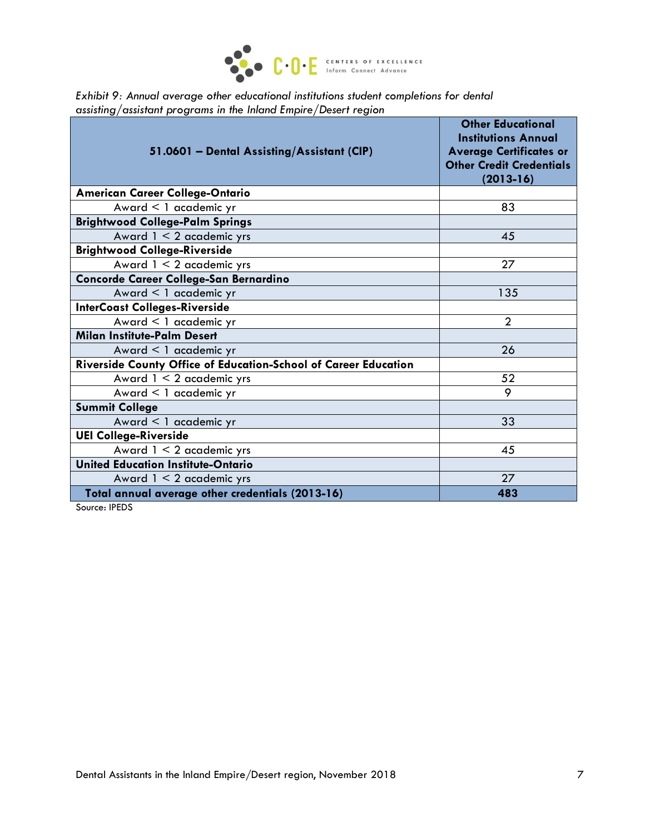

*Exhibit 9: Annual average other educational institutions student completions for dental assisting/assistant programs in the Inland Empire/Desert region*

| 51.0601 - Dental Assisting/Assistant (CIP)                      | <b>Other Educational</b><br><b>Institutions Annual</b><br><b>Average Certificates or</b><br><b>Other Credit Credentials</b><br>$(2013 - 16)$ |
|-----------------------------------------------------------------|----------------------------------------------------------------------------------------------------------------------------------------------|
| <b>American Career College-Ontario</b>                          |                                                                                                                                              |
| Award < 1 academic yr                                           | 83                                                                                                                                           |
| <b>Brightwood College-Palm Springs</b>                          |                                                                                                                                              |
| Award 1 < 2 academic yrs                                        | 45                                                                                                                                           |
| <b>Brightwood College-Riverside</b>                             |                                                                                                                                              |
| Award $1 < 2$ academic yrs                                      | 27                                                                                                                                           |
| Concorde Career College-San Bernardino                          |                                                                                                                                              |
| Award < 1 academic yr                                           | 135                                                                                                                                          |
| <b>InterCoast Colleges-Riverside</b>                            |                                                                                                                                              |
| Award < 1 academic yr                                           | $\overline{2}$                                                                                                                               |
| <b>Milan Institute-Palm Desert</b>                              |                                                                                                                                              |
| Award $\leq 1$ academic yr                                      | 26                                                                                                                                           |
| Riverside County Office of Education-School of Career Education |                                                                                                                                              |
| Award $1 < 2$ academic yrs                                      | 52                                                                                                                                           |
| Award < 1 academic yr                                           | 9                                                                                                                                            |
| <b>Summit College</b>                                           |                                                                                                                                              |
| Award < 1 academic yr                                           | 33                                                                                                                                           |
| <b>UEI College-Riverside</b>                                    |                                                                                                                                              |
| Award $1 < 2$ academic yrs                                      | 45                                                                                                                                           |
| <b>United Education Institute-Ontario</b>                       |                                                                                                                                              |
| Award $1 < 2$ academic yrs                                      | 27                                                                                                                                           |
| Total annual average other credentials (2013-16)                | 483                                                                                                                                          |

Source: IPEDS